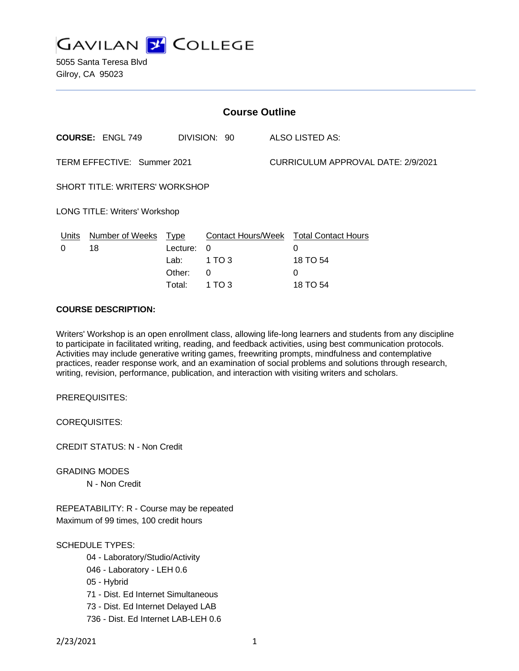

5055 Santa Teresa Blvd Gilroy, CA 95023

| <b>Course Outline</b>                 |                      |          |                           |                                    |                            |  |
|---------------------------------------|----------------------|----------|---------------------------|------------------------------------|----------------------------|--|
| <b>COURSE: ENGL 749</b>               |                      |          | DIVISION: 90              |                                    | <b>ALSO LISTED AS:</b>     |  |
| TERM EFFECTIVE: Summer 2021           |                      |          |                           | CURRICULUM APPROVAL DATE: 2/9/2021 |                            |  |
| <b>SHORT TITLE: WRITERS' WORKSHOP</b> |                      |          |                           |                                    |                            |  |
| LONG TITLE: Writers' Workshop         |                      |          |                           |                                    |                            |  |
| <u>Units</u>                          | Number of Weeks Type |          | <b>Contact Hours/Week</b> |                                    | <b>Total Contact Hours</b> |  |
| 0                                     | 18                   | Lecture: | 0                         |                                    | 0                          |  |
|                                       |                      | Lab:     | 1 TO 3                    |                                    | 18 TO 54                   |  |
|                                       |                      | Other:   | 0                         |                                    | 0                          |  |
|                                       |                      | Total:   | 1 TO 3                    |                                    | 18 TO 54                   |  |

## **COURSE DESCRIPTION:**

Writers' Workshop is an open enrollment class, allowing life-long learners and students from any discipline to participate in facilitated writing, reading, and feedback activities, using best communication protocols. Activities may include generative writing games, freewriting prompts, mindfulness and contemplative practices, reader response work, and an examination of social problems and solutions through research, writing, revision, performance, publication, and interaction with visiting writers and scholars.

PREREQUISITES:

COREQUISITES:

CREDIT STATUS: N - Non Credit

GRADING MODES N - Non Credit

REPEATABILITY: R - Course may be repeated Maximum of 99 times, 100 credit hours

SCHEDULE TYPES:

- 04 Laboratory/Studio/Activity
- 046 Laboratory LEH 0.6
- 05 Hybrid
- 71 Dist. Ed Internet Simultaneous
- 73 Dist. Ed Internet Delayed LAB
- 736 Dist. Ed Internet LAB-LEH 0.6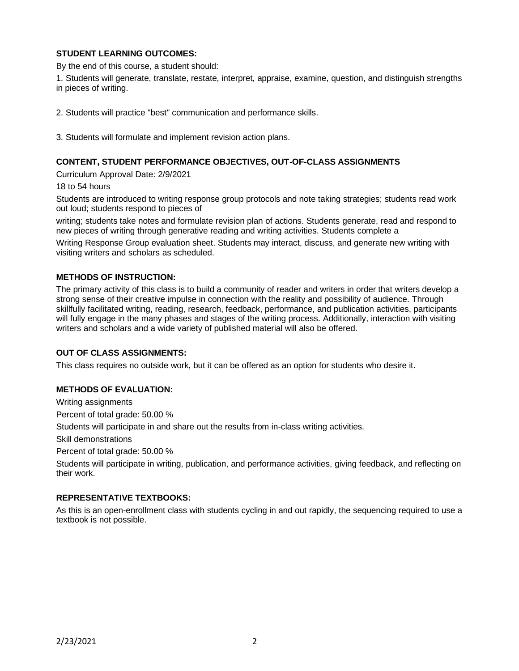# **STUDENT LEARNING OUTCOMES:**

By the end of this course, a student should:

1. Students will generate, translate, restate, interpret, appraise, examine, question, and distinguish strengths in pieces of writing.

2. Students will practice "best" communication and performance skills.

3. Students will formulate and implement revision action plans.

### **CONTENT, STUDENT PERFORMANCE OBJECTIVES, OUT-OF-CLASS ASSIGNMENTS**

Curriculum Approval Date: 2/9/2021

18 to 54 hours

Students are introduced to writing response group protocols and note taking strategies; students read work out loud; students respond to pieces of

writing; students take notes and formulate revision plan of actions. Students generate, read and respond to new pieces of writing through generative reading and writing activities. Students complete a

Writing Response Group evaluation sheet. Students may interact, discuss, and generate new writing with visiting writers and scholars as scheduled.

### **METHODS OF INSTRUCTION:**

The primary activity of this class is to build a community of reader and writers in order that writers develop a strong sense of their creative impulse in connection with the reality and possibility of audience. Through skillfully facilitated writing, reading, research, feedback, performance, and publication activities, participants will fully engage in the many phases and stages of the writing process. Additionally, interaction with visiting writers and scholars and a wide variety of published material will also be offered.

#### **OUT OF CLASS ASSIGNMENTS:**

This class requires no outside work, but it can be offered as an option for students who desire it.

## **METHODS OF EVALUATION:**

Writing assignments

Percent of total grade: 50.00 %

Students will participate in and share out the results from in-class writing activities.

Skill demonstrations

Percent of total grade: 50.00 %

Students will participate in writing, publication, and performance activities, giving feedback, and reflecting on their work.

## **REPRESENTATIVE TEXTBOOKS:**

As this is an open-enrollment class with students cycling in and out rapidly, the sequencing required to use a textbook is not possible.